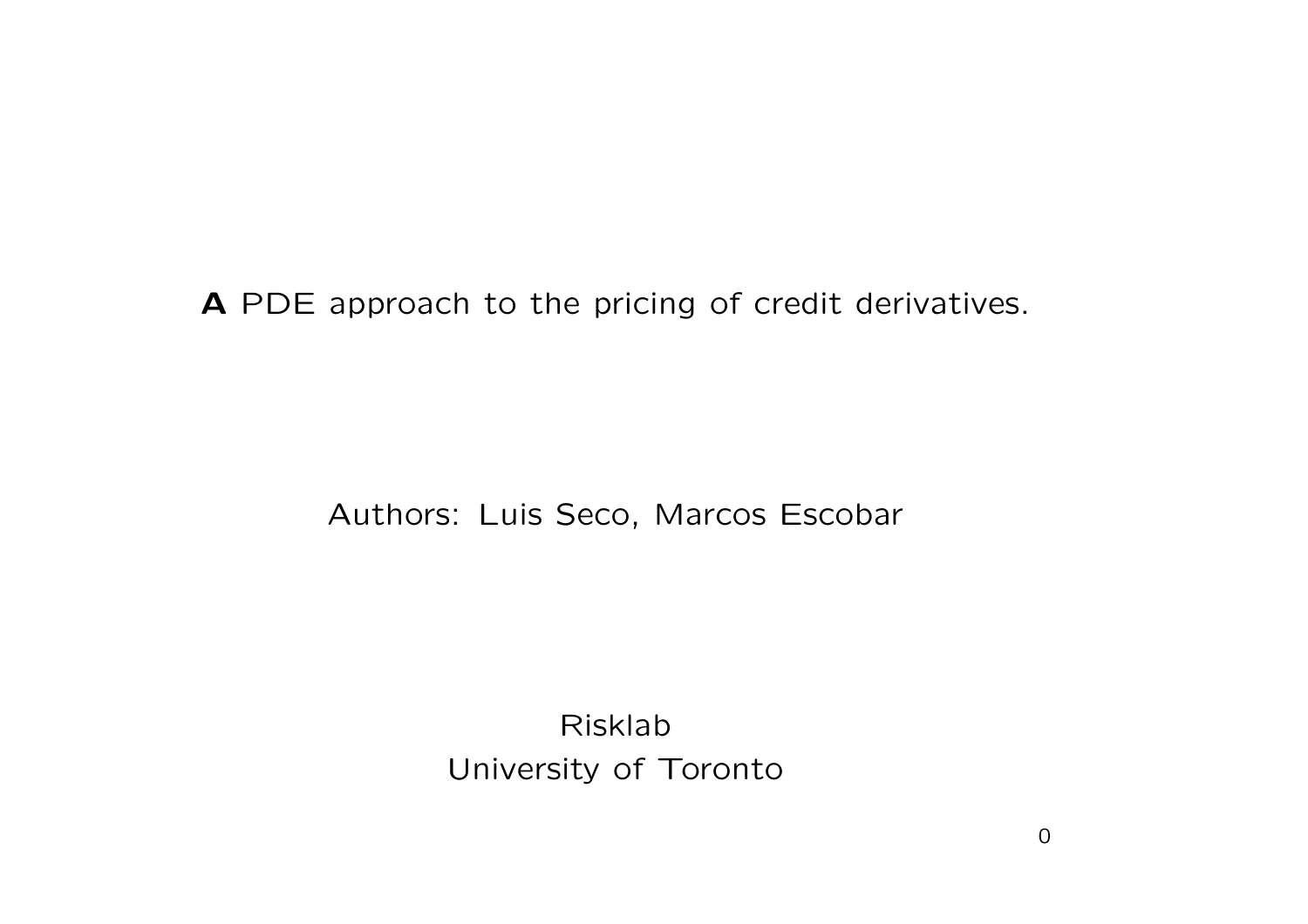**A** PDE approach to the pricing of credit derivatives.

Authors: Luis Seco, Marcos Escobar

Risklab University of Toronto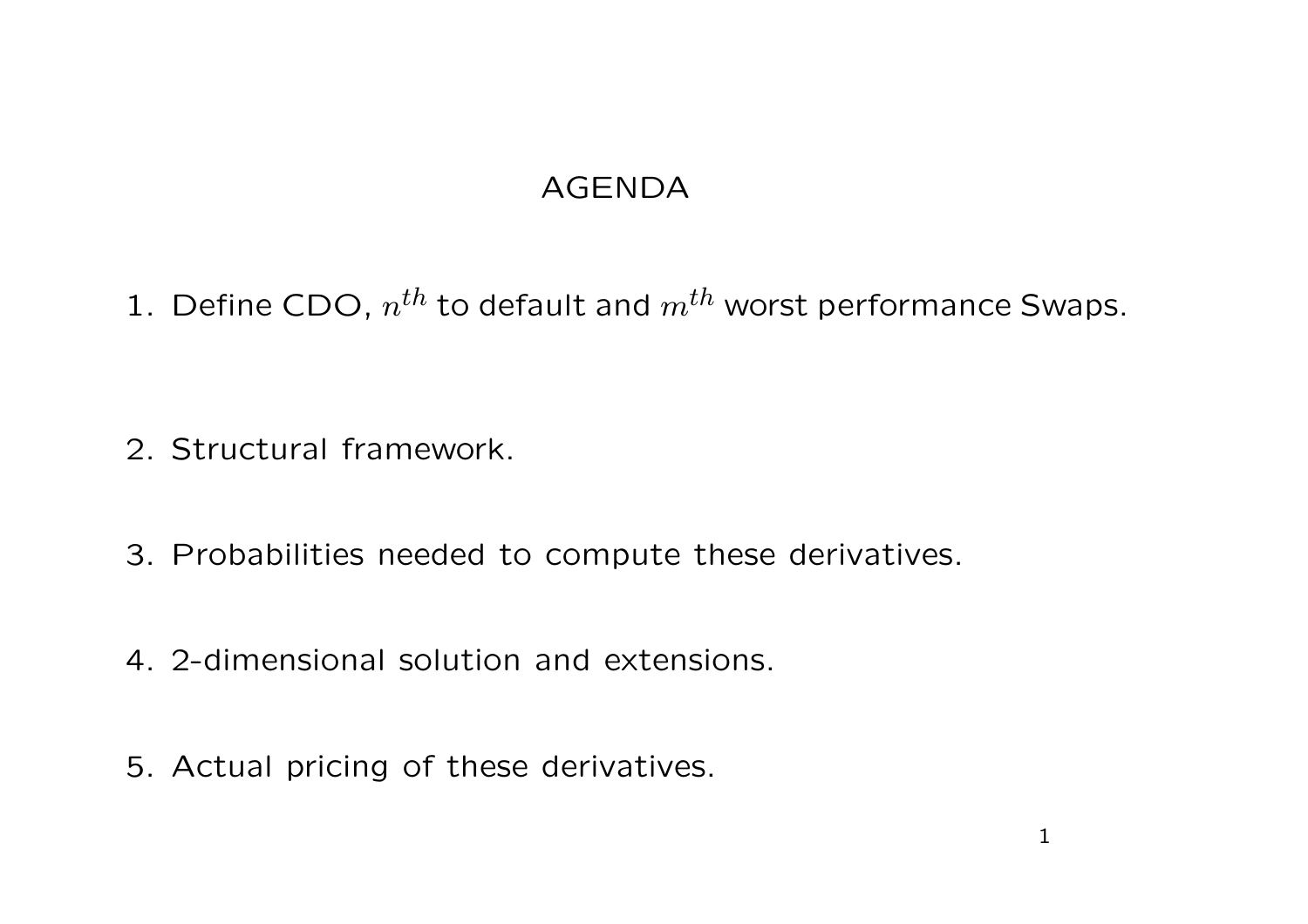### AGENDA

1. Define CDO, *<sup>n</sup>th* to default and *<sup>m</sup>th* worst performance Swaps.

- 2. Structural framework.
- 3. Probabilities needed to compute these derivatives.
- 4. 2-dimensional solution and extensions.
- 5. Actual pricing of these derivatives.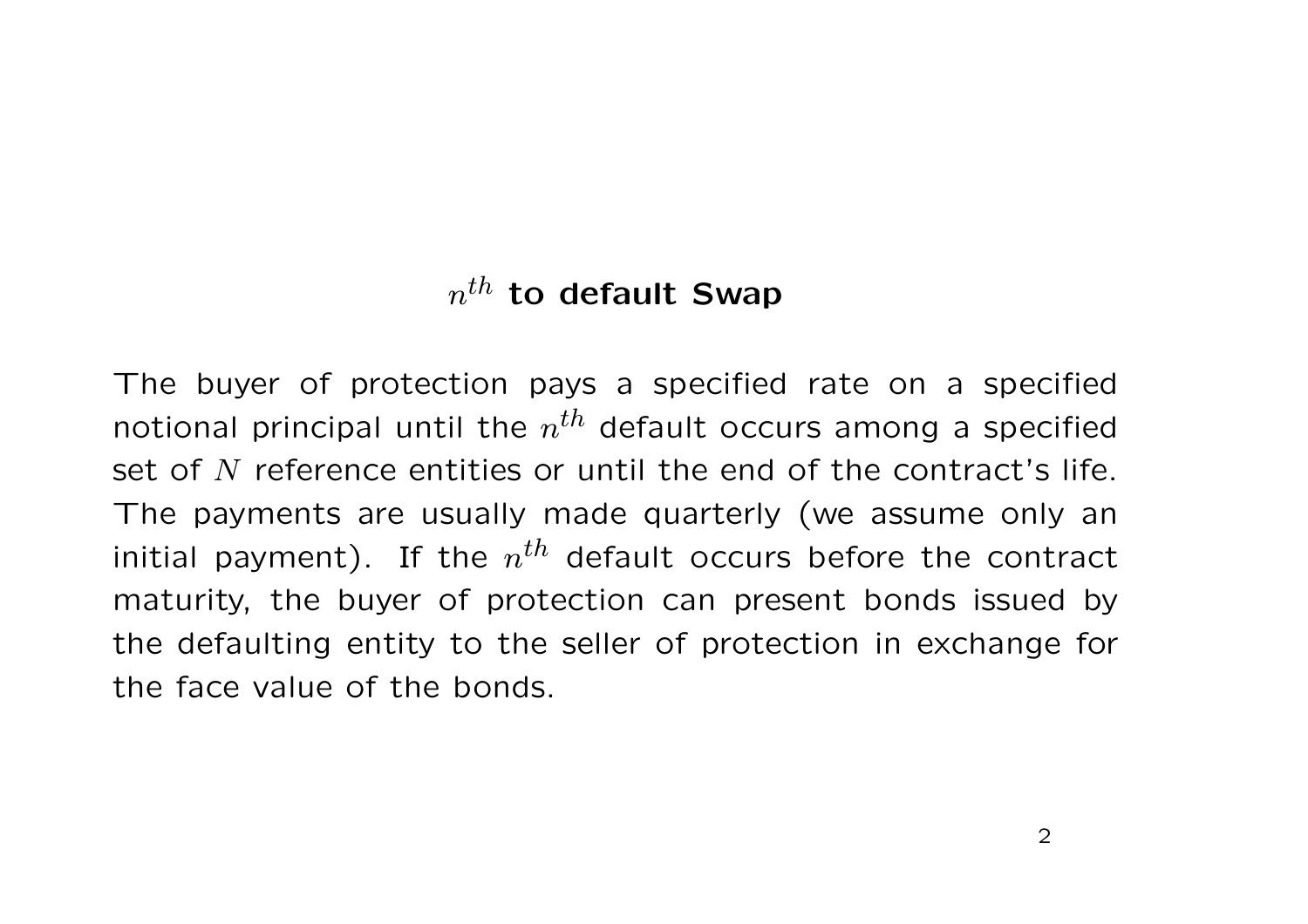## *<sup>n</sup>th* **to default Swap**

The buyer of protection pays <sup>a</sup> specified rate on <sup>a</sup> specified notional principal until the *<sup>n</sup>th* default occurs among <sup>a</sup> specified set of *N* reference entities or until the end of the contract's life. The payments are usually made quarterly (we assume only an initial payment). If the  $n^{th}$  default occurs before the contract maturity, the buyer of protection can present bonds issued by the defaulting entity to the seller of protection in exchange for the face value of the bonds.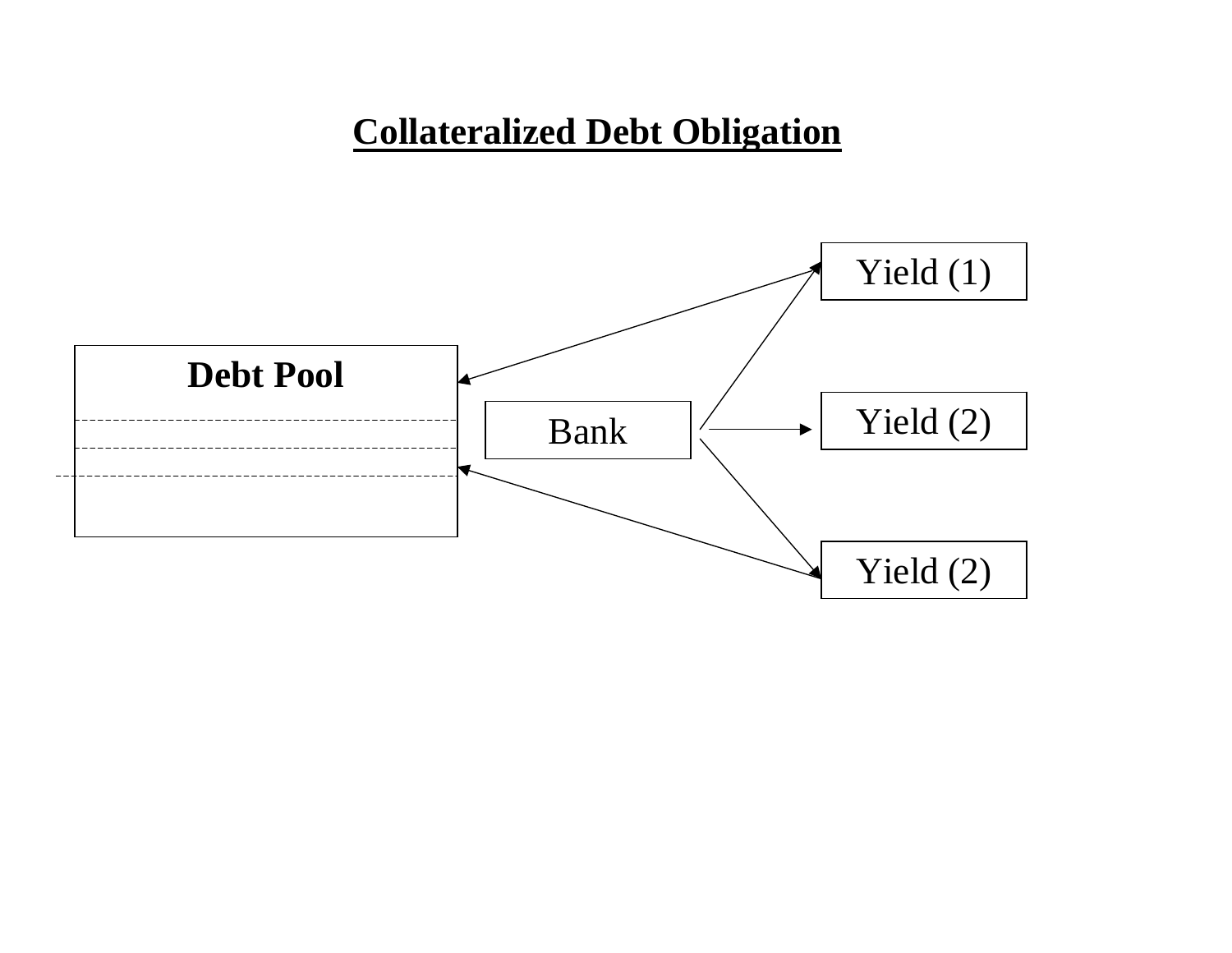# **Collateralized Debt Obligation**

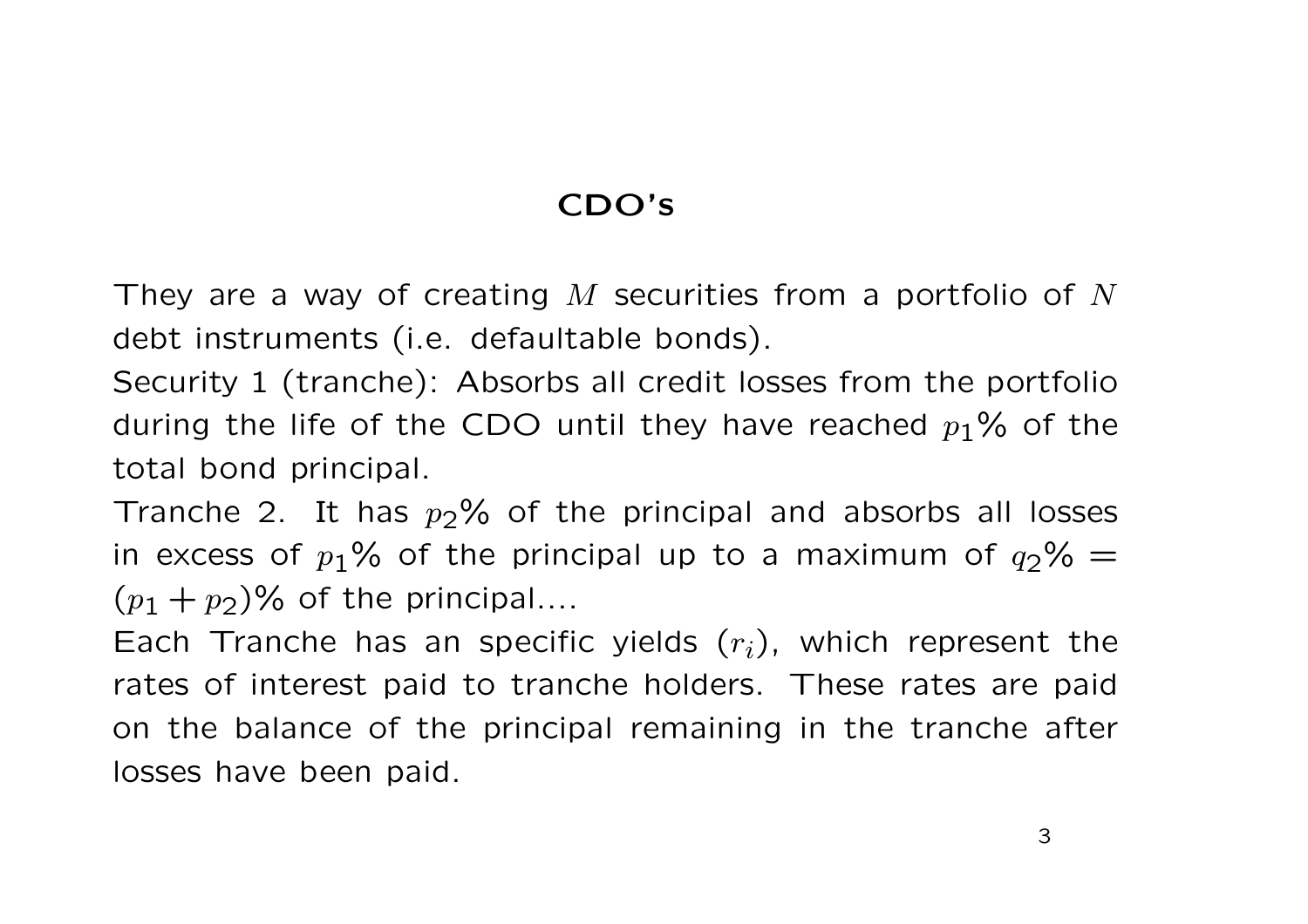### **CDO's**

They are <sup>a</sup> way of creating *M* securities from <sup>a</sup> portfolio of *N* debt instruments (i.e. defaultable bonds).

Security 1 (tranche): Absorbs all credit losses from the portfolio during the life of the CDO until they have reached *<sup>p</sup>*1% of the total bond principal.

Tranche 2. It has  $p_2$ % of the principal and absorbs all losses in excess of  $p_1\%$  of the principal up to a maximum of  $q_2\%$  =  $(p_1 + p_2)\%$  of the principal....

Each Tranche has an specific yields (*ri*), which represent the rates of interest paid to tranche holders. These rates are paid on the balance of the principal remaining in the tranche after losses have been paid.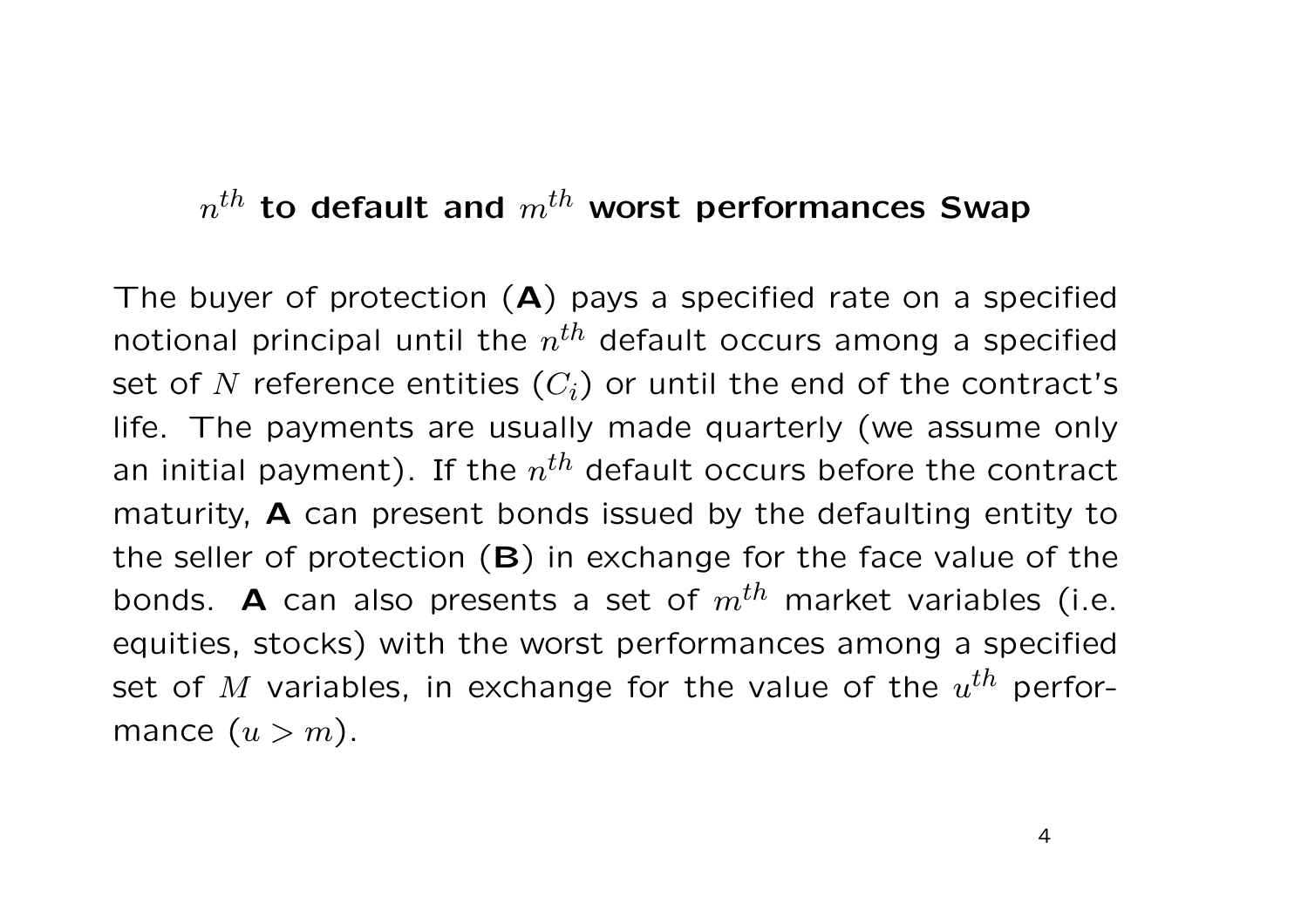### *<sup>n</sup>th* **to default and** *<sup>m</sup>th* **worst performances Swap**

The buyer of protection (**A**) pays <sup>a</sup> specified rate on <sup>a</sup> specified notional principal until the *<sup>n</sup>th* default occurs among <sup>a</sup> specified set of  $N$  reference entities  $(C_i)$  or until the end of the contract's life. The payments are usually made quarterly (we assume only an initial payment). If the *<sup>n</sup>th* default occurs before the contract maturity, **A** can present bonds issued by the defaulting entity to the seller of protection (**B**) in exchange for the face value of the bonds. **<sup>A</sup>** can also presents <sup>a</sup> set of *<sup>m</sup>th* market variables (i.e. equities, stocks) with the worst performances among <sup>a</sup> specified set of *<sup>M</sup>* variables, in exchange for the value of the *<sup>u</sup>th* performance  $(u > m)$ .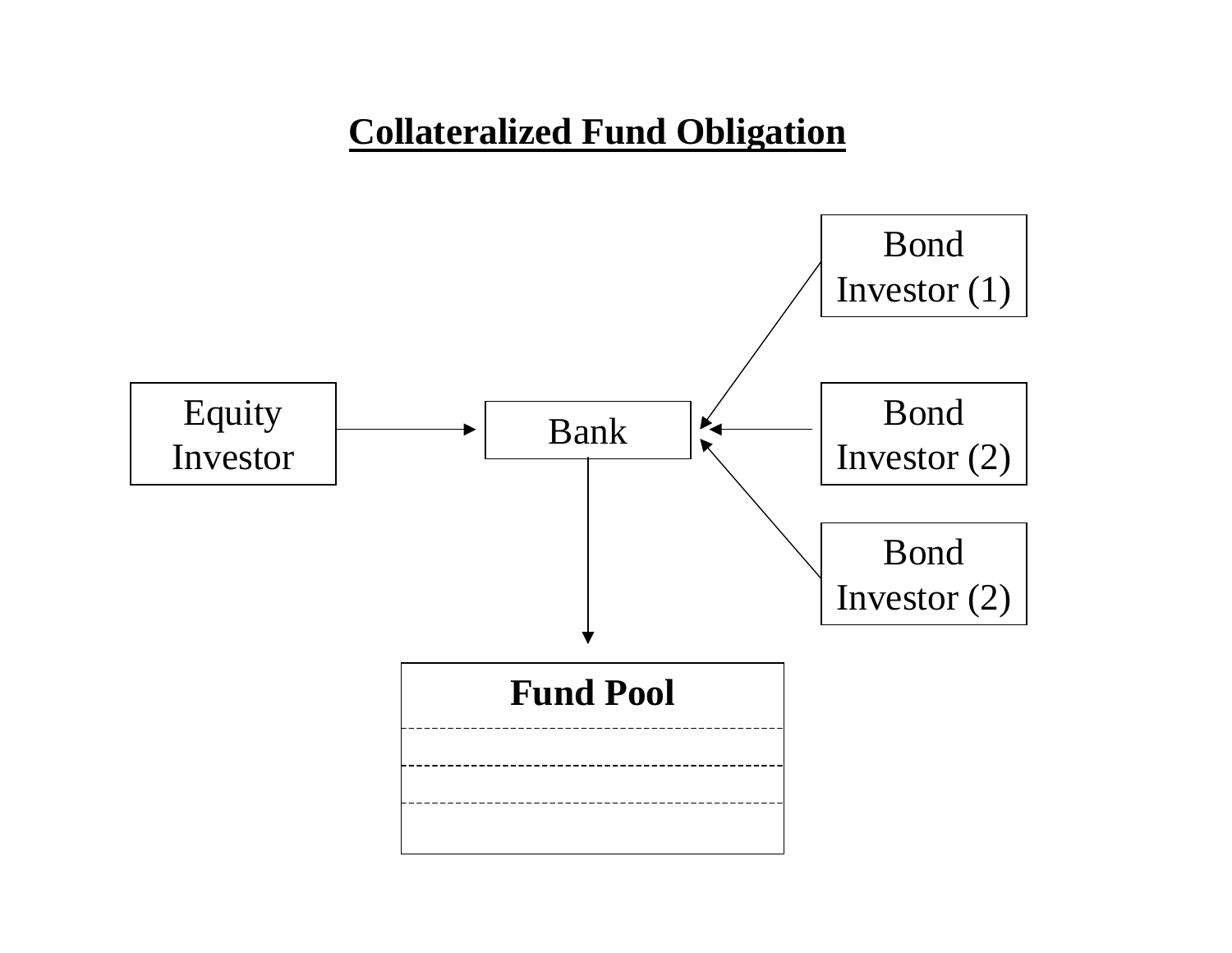## **Collateralized Fund Obligation**

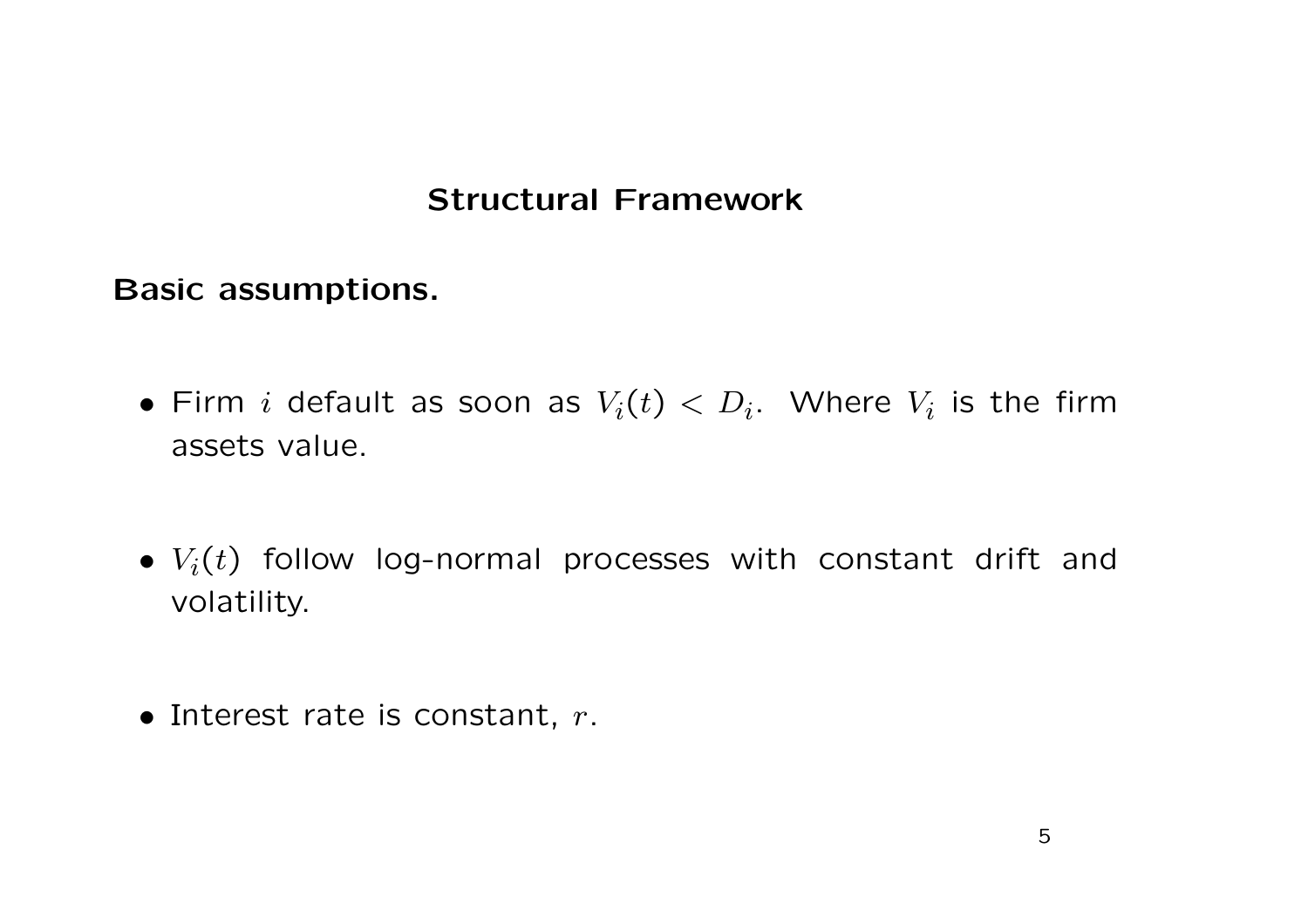#### **Structural Framework**

**Basic assumptions.**

- $\bullet$  Firm  $i$  default as soon as  $V_i(t) < D_i$ . Where  $V_i$  is the firm assets value.
- $\bullet$   $V_i(t)$  follow log-normal processes with constant drift and volatility.
- Interest rate is constant, *r*.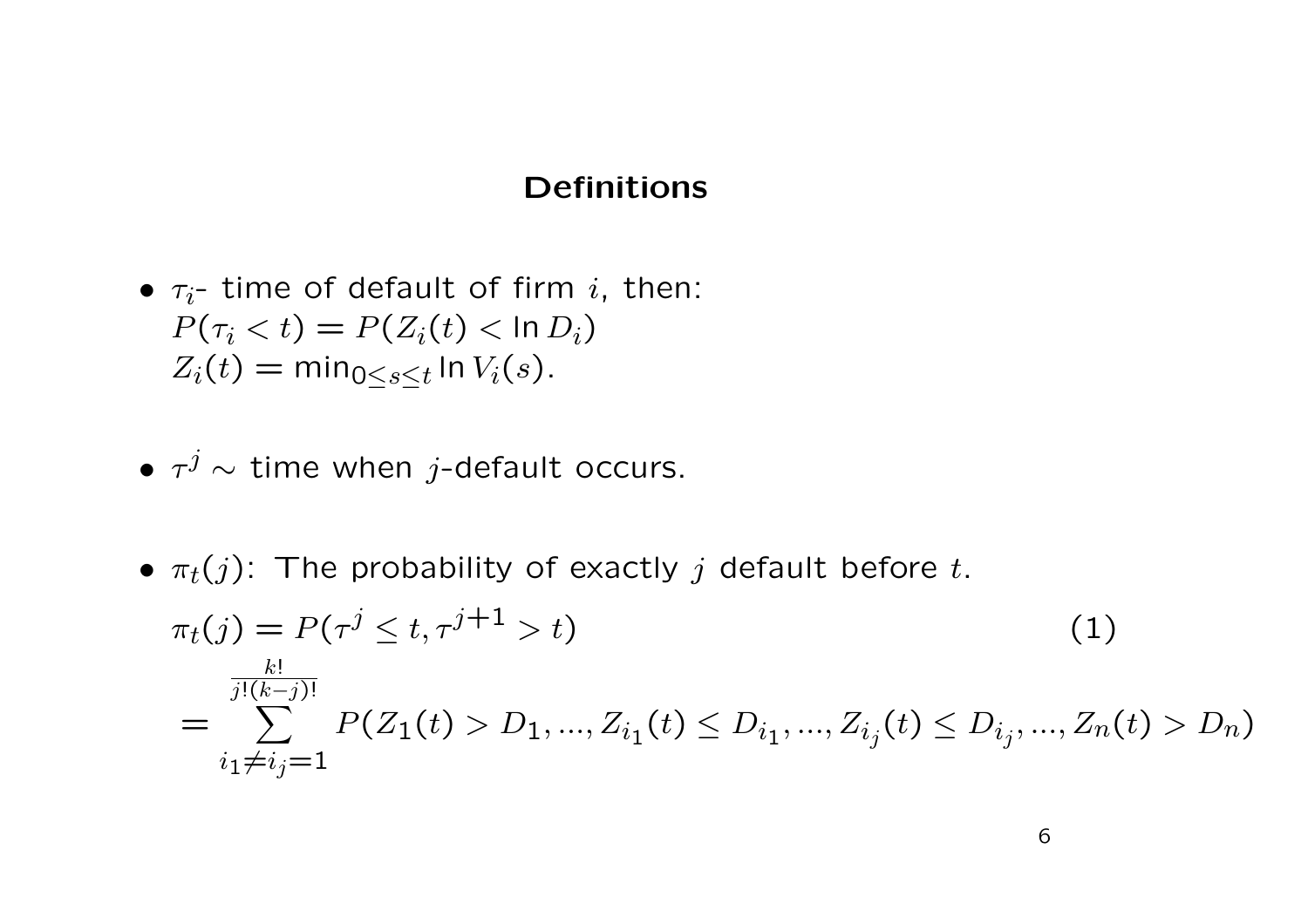#### **Definitions**

- $\bullet$   $\tau_i$  time of default of firm  $i$ , then:  $P(\tau_i < t) = P(Z_i(t) < \ln D_i)$  $Z_i(t) = \min_{0 \leq s \leq t} \ln V_i(s)$ .
- *<sup>τ</sup><sup>j</sup>* <sup>∼</sup> time when *j*-default occurs.
- $\bullet$   $\pi_t(j)$ : The probability of exactly  $j$  default before  $t$ .

$$
\pi_t(j) = P(\tau^j \le t, \tau^{j+1} > t)
$$
\n
$$
= \sum_{\substack{j:(k-j)!\\i_1 \ne i_j = 1}}^{k!} P(Z_1(t) > D_1, \dots, Z_{i_1}(t) \le D_{i_1}, \dots, Z_{i_j}(t) \le D_{i_j}, \dots, Z_n(t) > D_n)
$$
\n(1)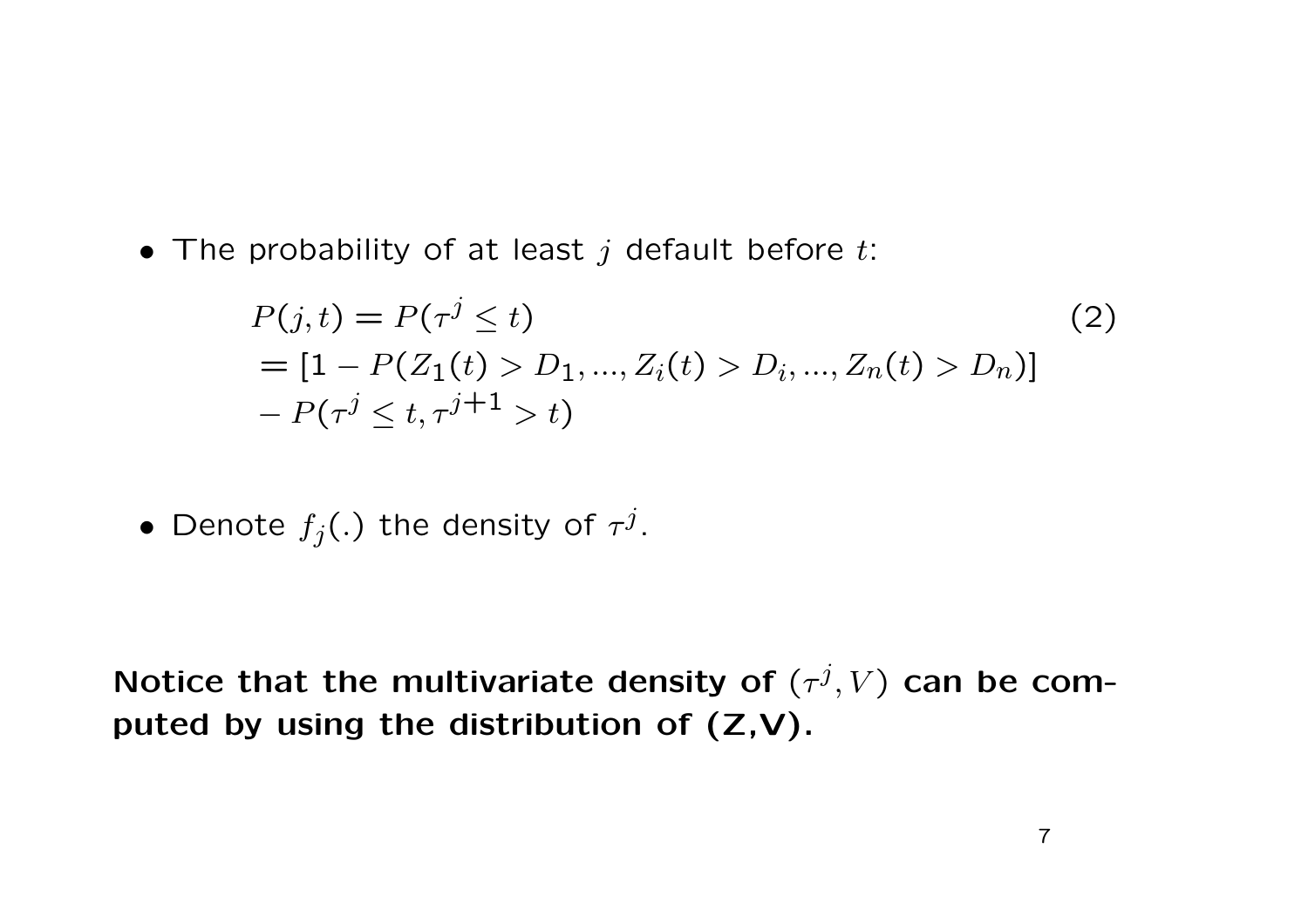• The probability of at least *j* default before *t*:

$$
P(j,t) = P(\tau^j \le t)
$$
  
= [1 - P(Z\_1(t) > D\_1, ..., Z\_i(t) > D\_i, ..., Z\_n(t) > D\_n)]  
- P(\tau^j \le t, \tau^{j+1} > t) (2)

 $\bullet$  Denote  $f_j(.)$  the density of  $\tau^j.$ 

Notice that the multivariate density of  $(\tau^j,V)$  can be com**puted by using the distribution of (Z,V).**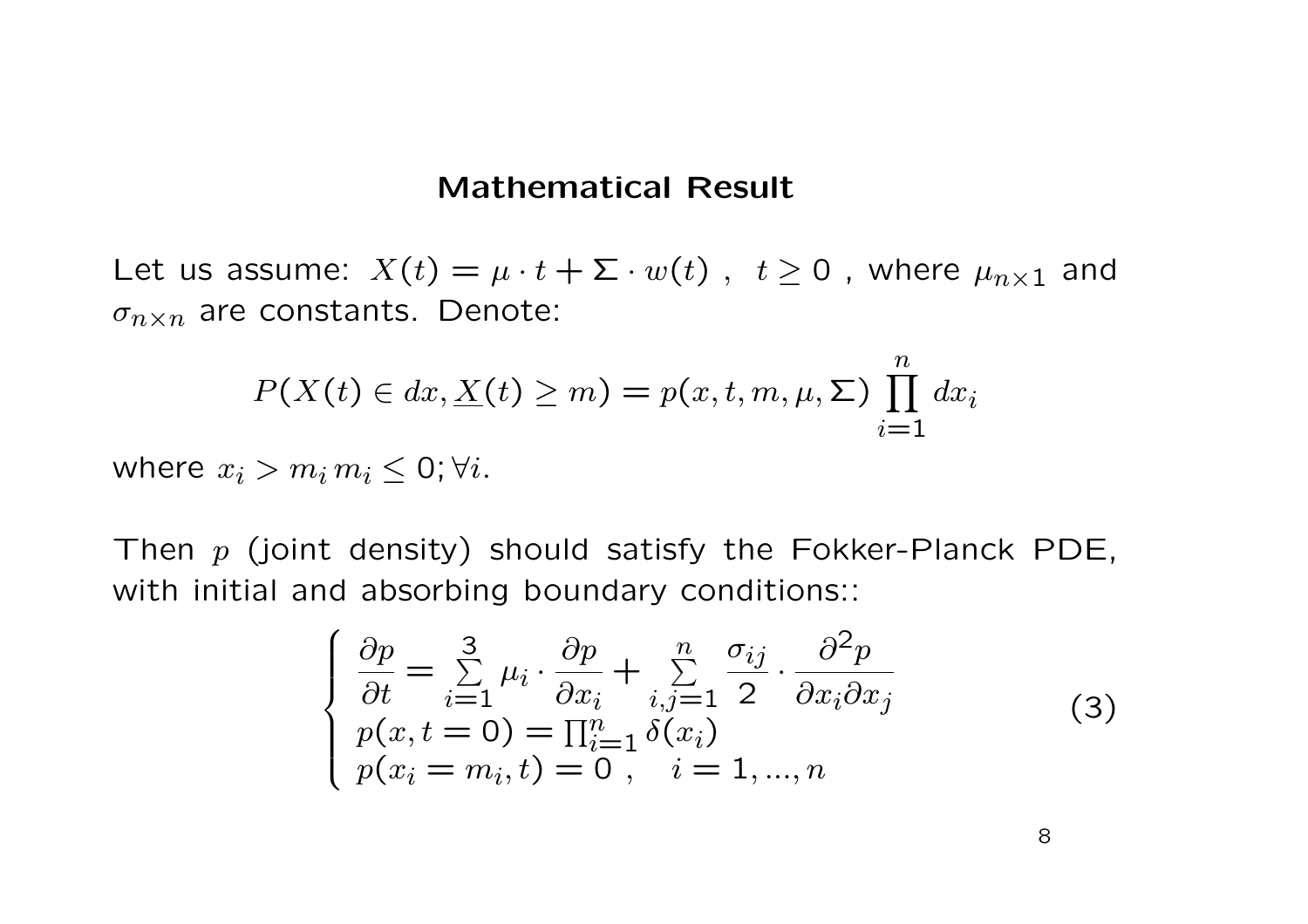#### **Mathematical Result**

Let us assume:  $X(t) = \mu \cdot t + \Sigma \cdot w(t)$ ,  $t \ge 0$ , where  $\mu_{n \times 1}$  and  $\sigma_{n \times n}$  are constants. Denote:

$$
P(X(t) \in dx, \underline{X}(t) \geq m) = p(x, t, m, \mu, \Sigma) \prod_{i=1}^{n} dx_i
$$

where  $x_i > m_i m_i \leq 0$ ;  $\forall i$ .

Then *<sup>p</sup>* (joint density) should satisfy the Fokker-Planck PDE, with initial and absorbing boundary conditions::

$$
\begin{cases}\n\frac{\partial p}{\partial t} = \sum_{i=1}^{3} \mu_i \cdot \frac{\partial p}{\partial x_i} + \sum_{i,j=1}^{n} \frac{\sigma_{ij}}{2} \cdot \frac{\partial^2 p}{\partial x_i \partial x_j} \\
p(x, t = 0) = \prod_{i=1}^{n} \delta(x_i) \\
p(x_i = m_i, t) = 0, \quad i = 1, ..., n\n\end{cases}
$$
\n(3)

8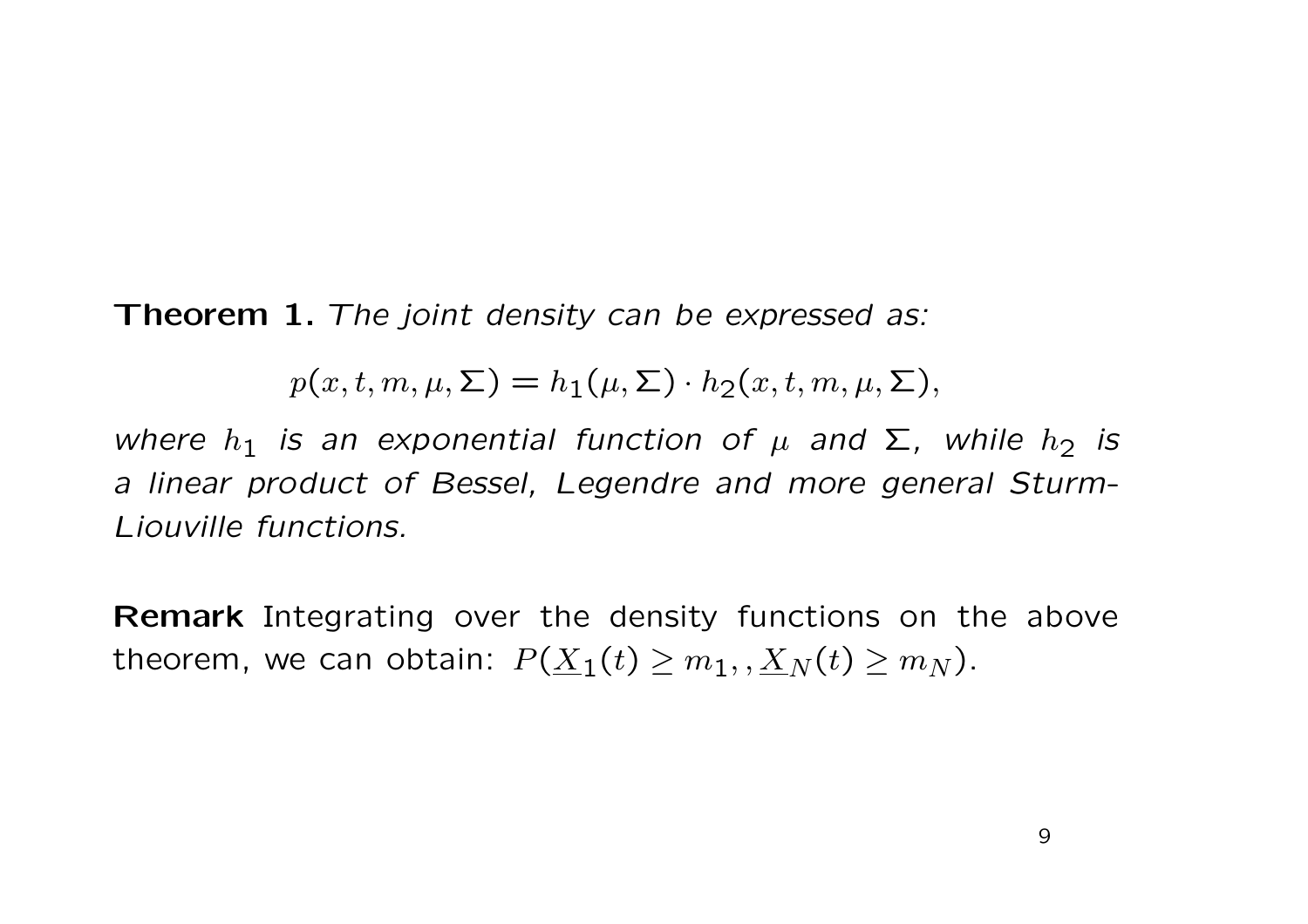**Theorem 1.** *The joint density can be expressed as:*

$$
p(x, t, m, \mu, \Sigma) = h_1(\mu, \Sigma) \cdot h_2(x, t, m, \mu, \Sigma),
$$

 $w$ here  $h_1$  is an exponential function of  $\mu$  and  $\Sigma$ , while  $h_2$  is *<sup>a</sup> linear product of Bessel, Legendre and more general Sturm-Liouville functions.*

**Remark** Integrating over the density functions on the above theorem, we can obtain:  $P(\underline{X}_1(t) \geq m_1,,\underline{X}_N(t) \geq m_N).$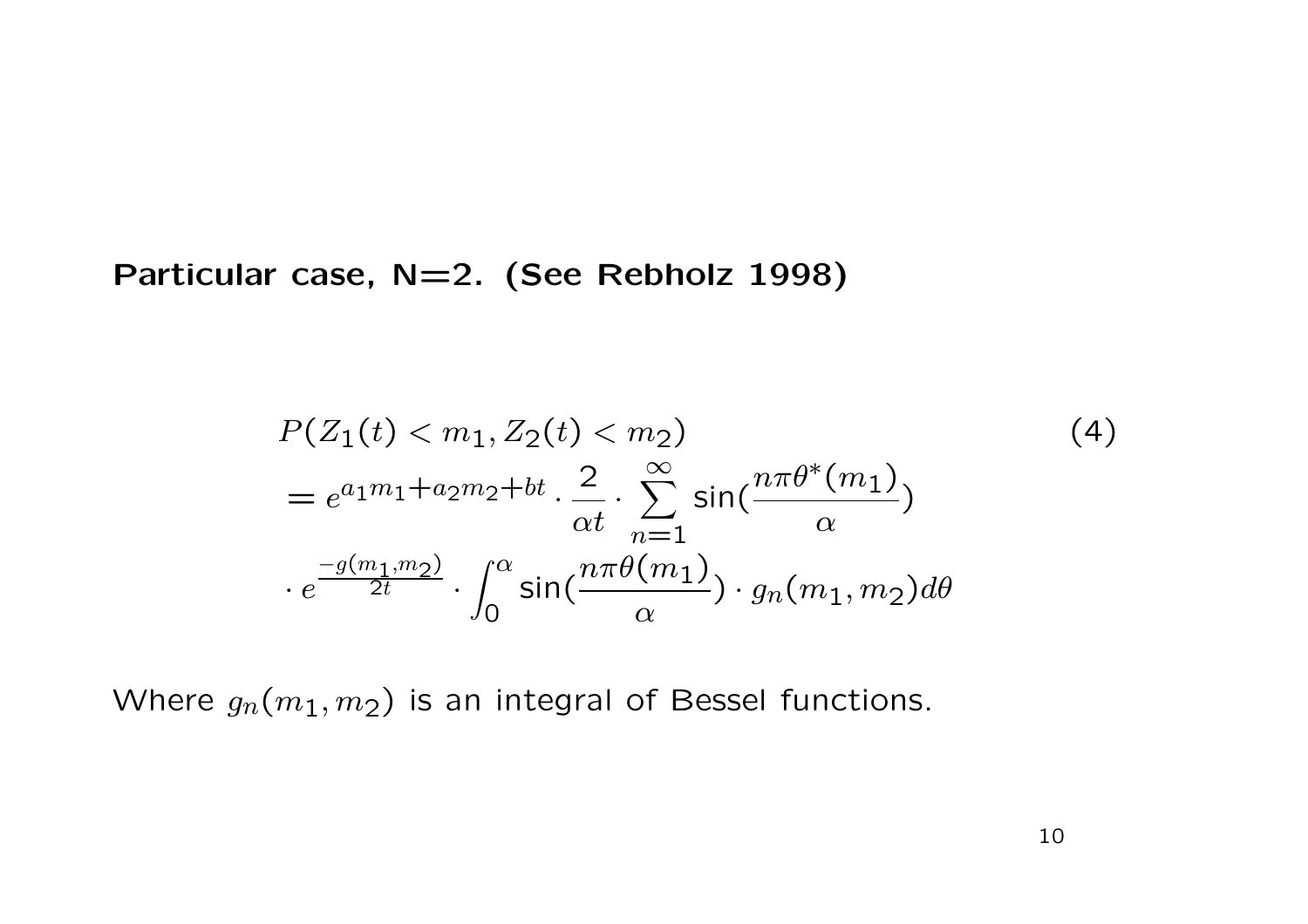**Particular case, N=2. (See Rebholz 1998)**

$$
P(Z_1(t) < m_1, Z_2(t) < m_2) \tag{4}
$$
\n
$$
= e^{a_1 m_1 + a_2 m_2 + bt} \cdot \frac{2}{\alpha t} \cdot \sum_{n=1}^{\infty} \sin\left(\frac{n\pi \theta^*(m_1)}{\alpha}\right) \cdot e^{\frac{-g(m_1, m_2)}{2t}} \cdot \int_0^\alpha \sin\left(\frac{n\pi \theta(m_1)}{\alpha}\right) \cdot g_n(m_1, m_2) d\theta
$$

Where  $g_n(m_1,m_2)$  is an integral of Bessel functions.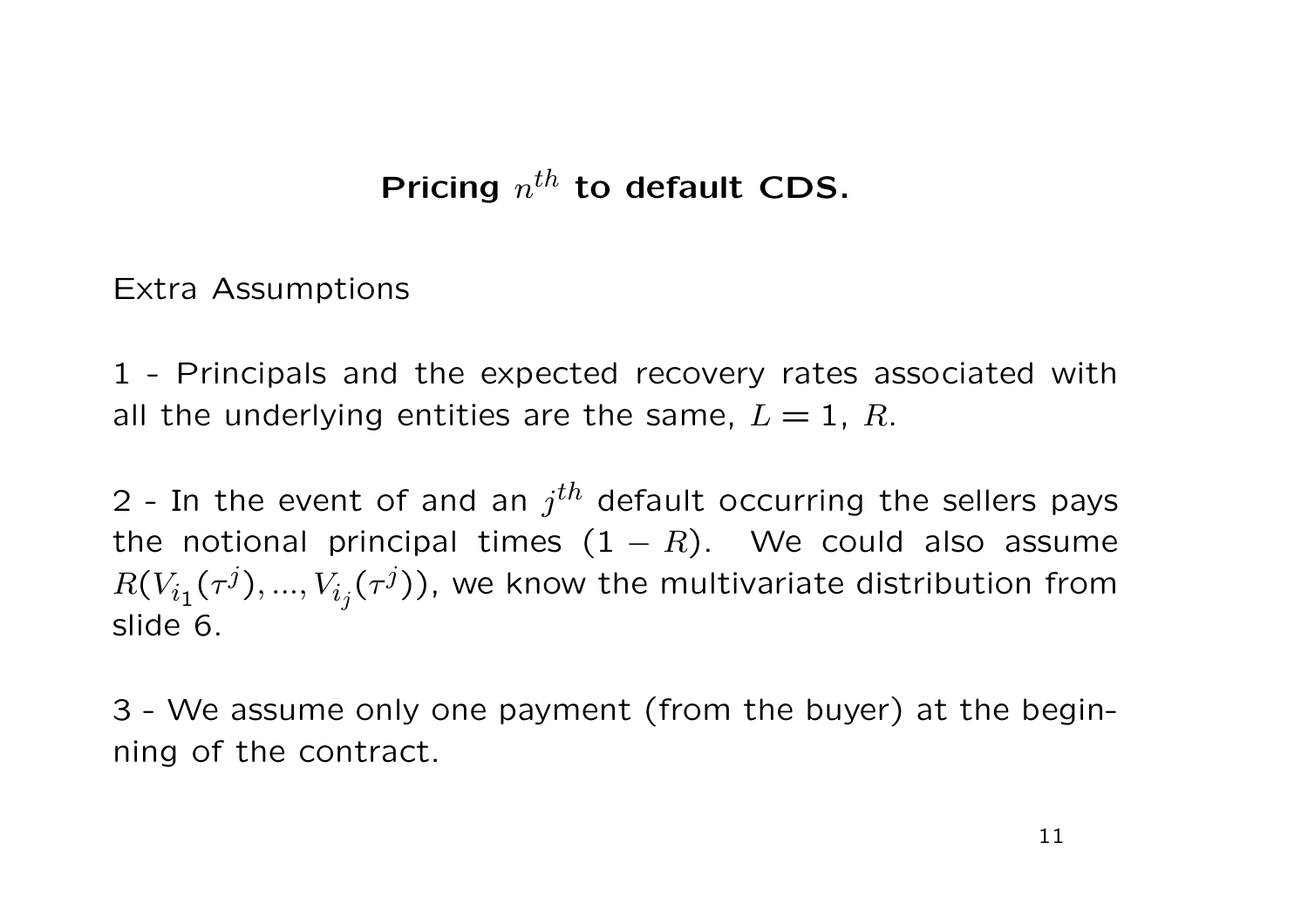## Pricing  $n^{th}$  to default CDS.

Extra Assumptions

1 - Principals and the expected recovery rates associated with all the underlying entities are the same,  $L = 1$ , R.

2 - In the event of and an  $j<sup>th</sup>$  default occurring the sellers pays the notional principal times  $(1 - R)$ . We could also assume  $R(V_{i_1}(\tau^j),...,V_{i_j}(\tau^j))$ , we know the multivariate distribution from slide 6.

3 - We assume only one payment (from the buyer) at the beginning of the contract.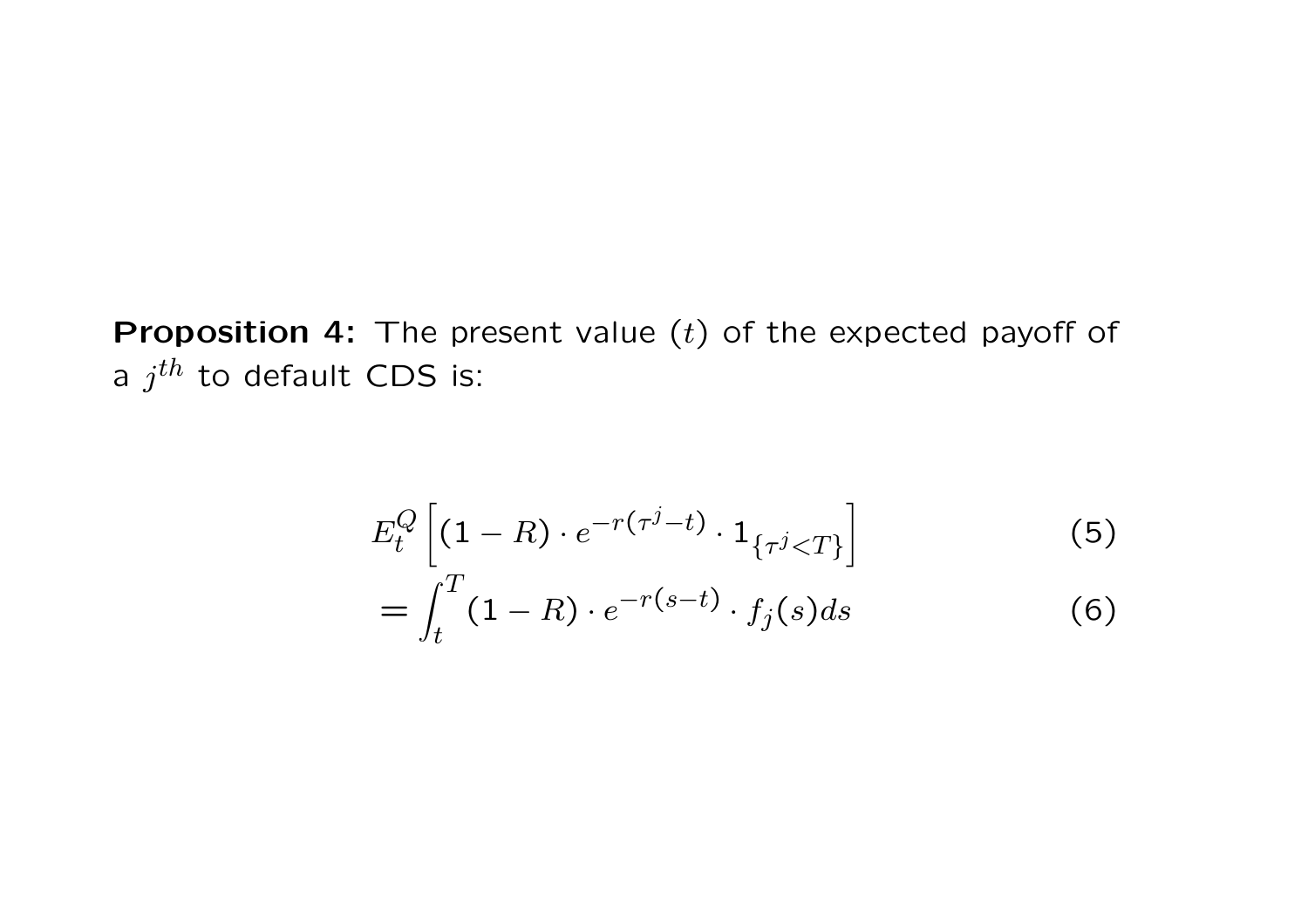**Proposition 4:** The present value (*t*) of the expected payoff of <sup>a</sup> *jth* to default CDS is:

$$
E_t^Q \left[ (1 - R) \cdot e^{-r(\tau^j - t)} \cdot 1_{\{\tau^j < T\}} \right] \tag{5}
$$
\n
$$
= \int_t^T (1 - R) \cdot e^{-r(s - t)} \cdot f_j(s) ds \tag{6}
$$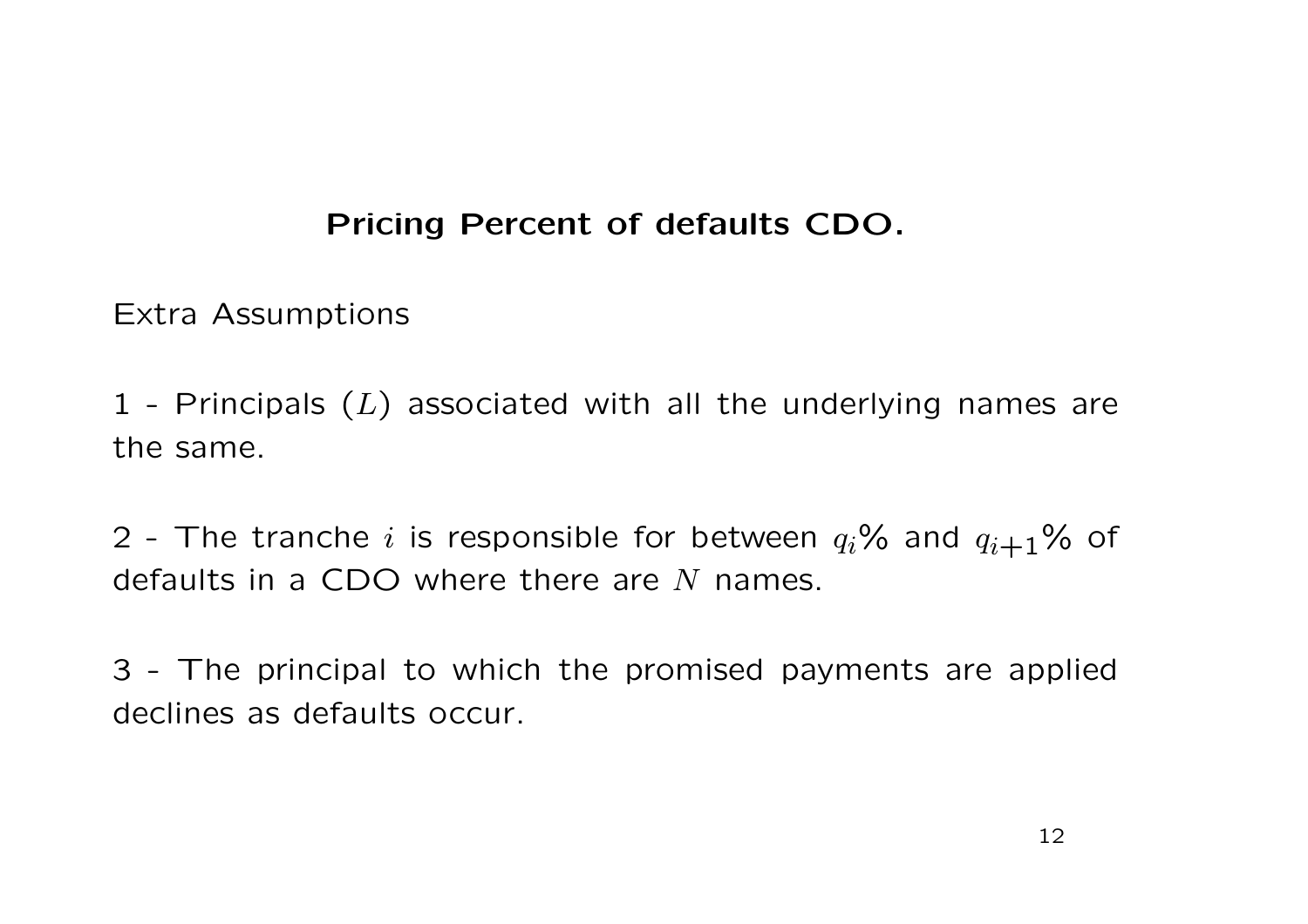### **Pricing Percent of defaults CDO.**

Extra Assumptions

1 - Principals ( *L*) associated with all the underlying names are the same.

2 - The tranche  $i$  is responsible for between  $q_i$ % and  $q_{i+1}$ % of defaults in a CDO where there are *N* names.

3 - The principal to which the promised payments are applied declines as defaults occur.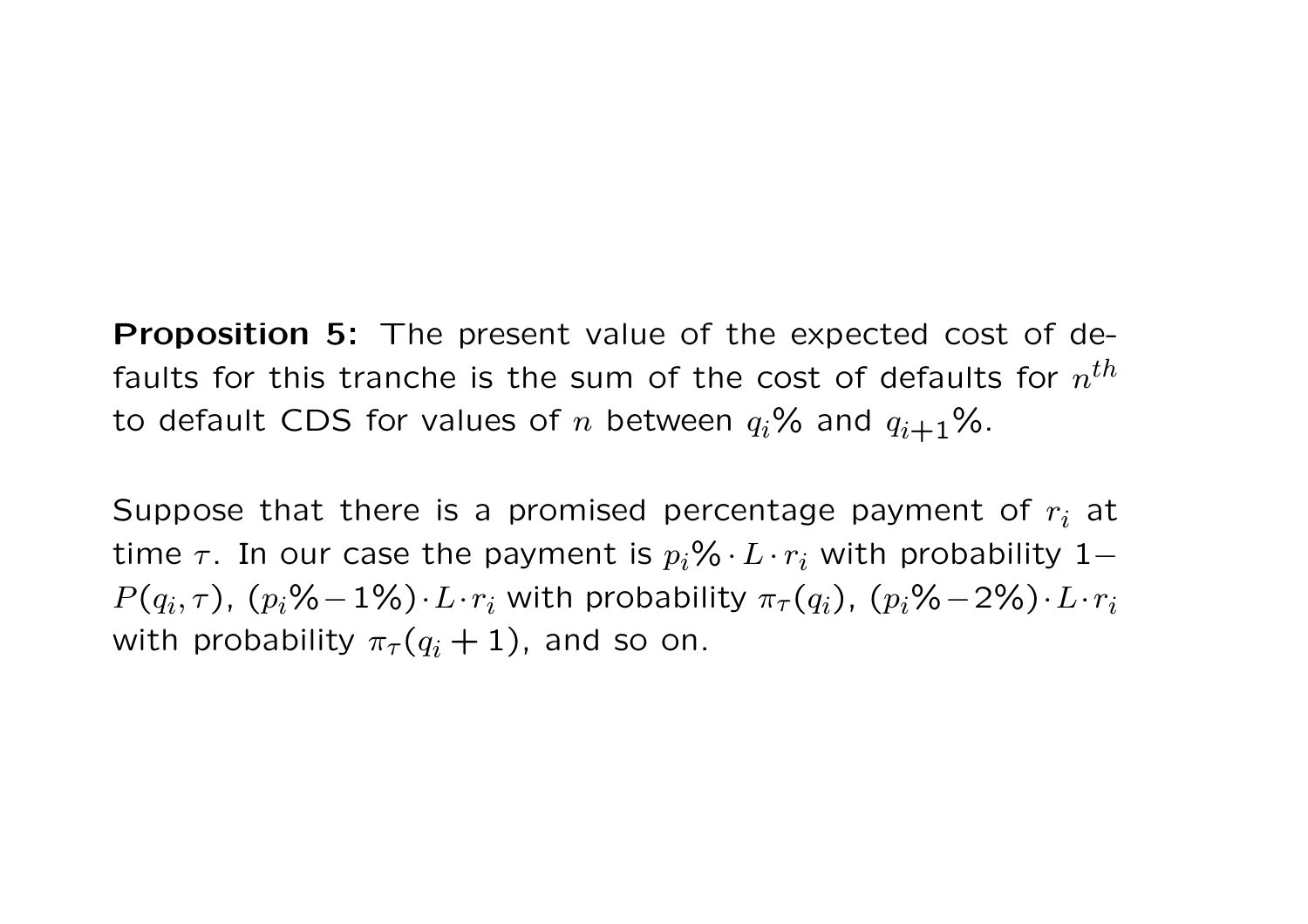**Proposition 5:** The present value of the expected cost of defaults for this tranche is the sum of the cost of defaults for *<sup>n</sup>th* to default CDS for values of  $n$  between  $q_i$ % and  $q_{i+1}$ %.

Suppose that there is a promised percentage payment of  $r_i$  at time  $\tau$ . In our case the payment is  $p_i\% \cdot L \cdot r_i$  with probability  $1$ −  $P(q_i, \tau)$ ,  $(p_i\% - 1\%) \cdot L \cdot r_i$  with probability  $\pi_{\tau}(q_i)$ ,  $(p_i\% - 2\%) \cdot L \cdot r_i$ with probability  $\pi_{\tau}(q_i+1)$ , and so on.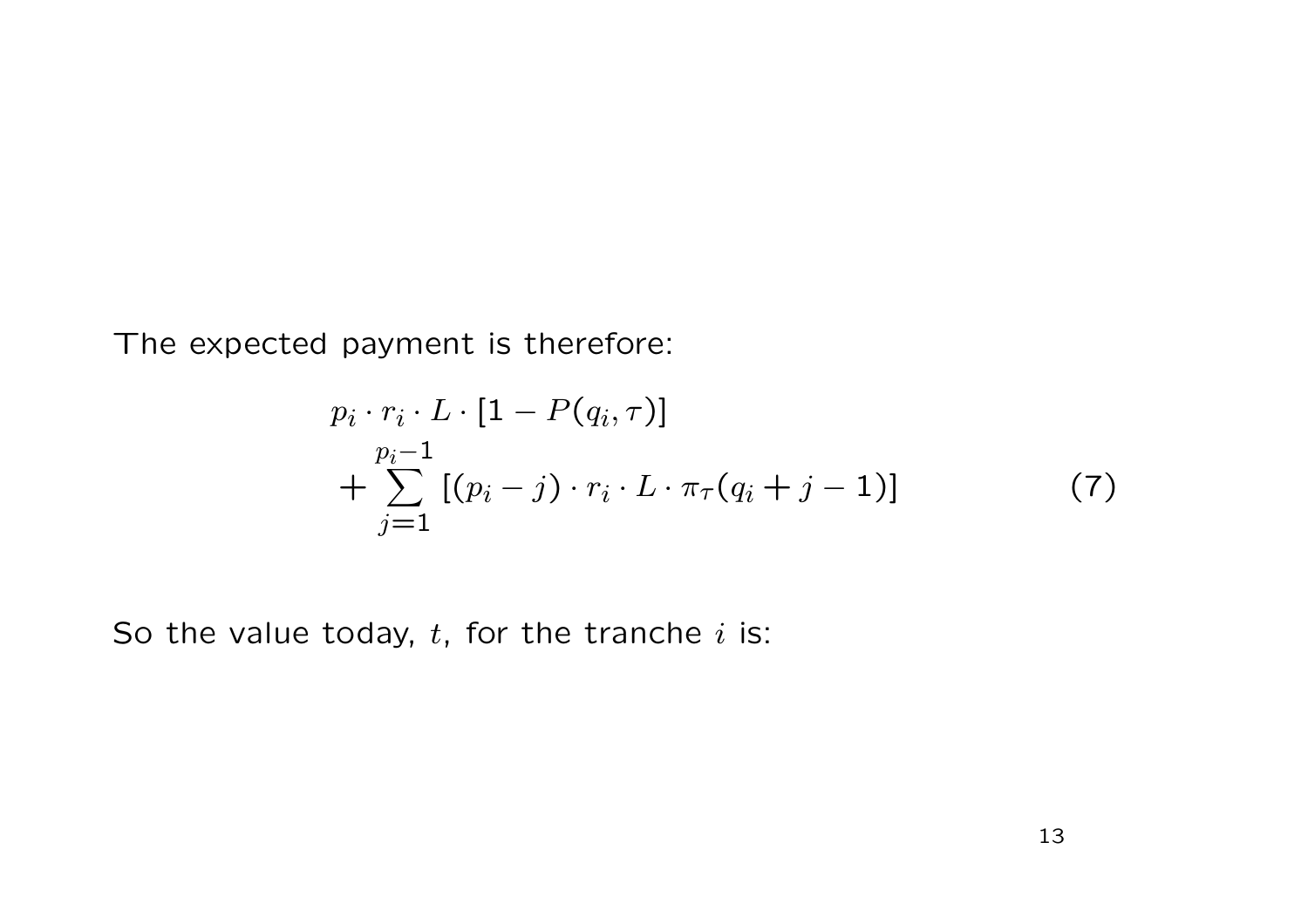The expected payment is therefore:

$$
p_i \cdot r_i \cdot L \cdot [1 - P(q_i, \tau)]
$$
  
+ 
$$
\sum_{j=1}^{p_i-1} [(p_i - j) \cdot r_i \cdot L \cdot \pi_{\tau}(q_i + j - 1)]
$$
 (7)

So the value today, *t*, for the tranche *i* is: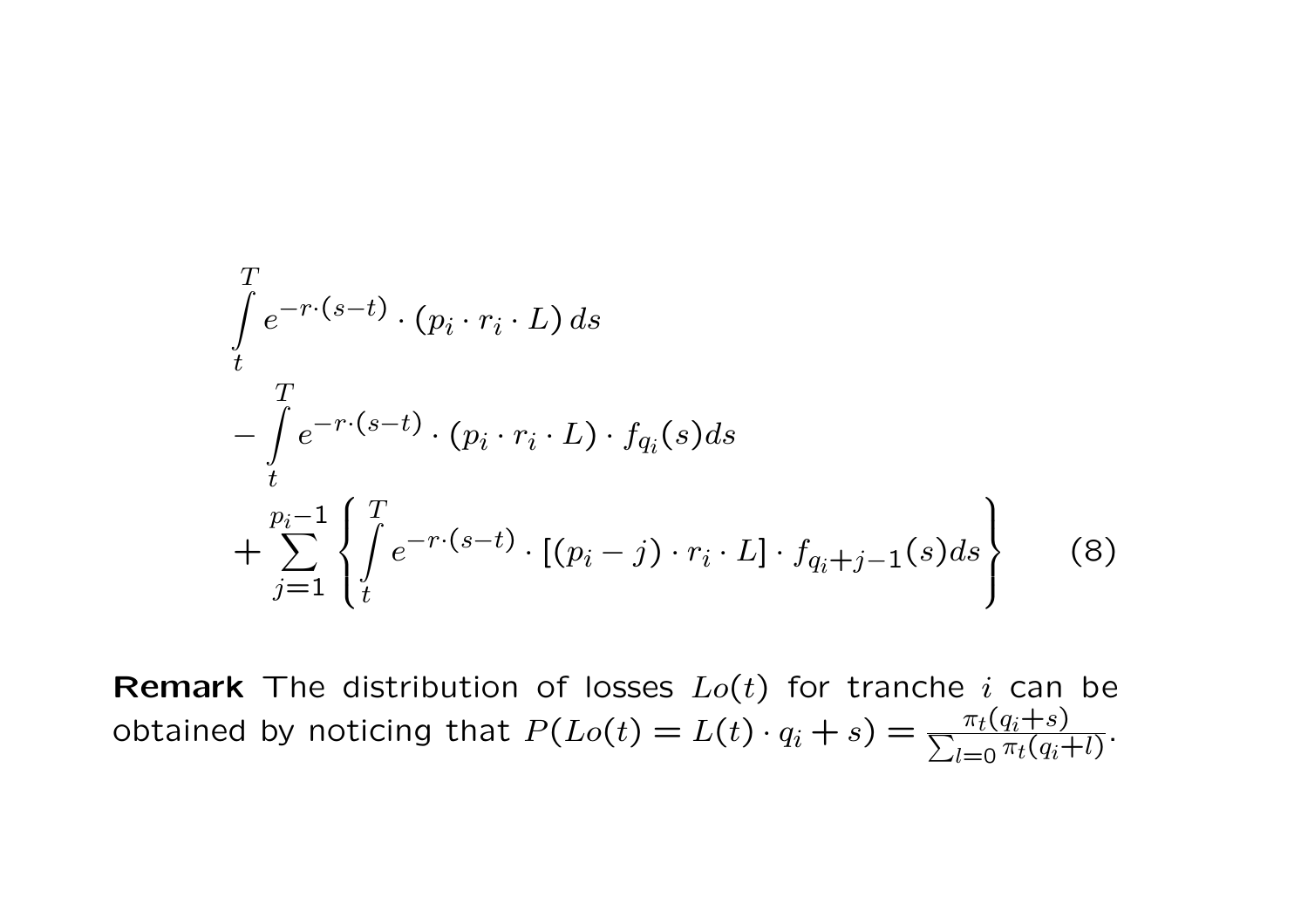$$
\int_{t}^{T} e^{-r \cdot (s-t)} \cdot (p_i \cdot r_i \cdot L) ds
$$
\n
$$
-\int_{t}^{T} e^{-r \cdot (s-t)} \cdot (p_i \cdot r_i \cdot L) \cdot f_{q_i}(s) ds
$$
\n
$$
+\sum_{j=1}^{p_i-1} \left\{ \int_{t}^{T} e^{-r \cdot (s-t)} \cdot [(p_i-j) \cdot r_i \cdot L] \cdot f_{q_i+j-1}(s) ds \right\} \tag{8}
$$

**Remark** The distribution of losses *Lo*(*t*) for tranche *<sup>i</sup>* can be obtained by noticing that  $P(Lo(t) = L(t) \cdot q_i + s) = \frac{\pi_t(q_i+s)}{\sum_{l=0} \pi_t(q_i+l)}$ .